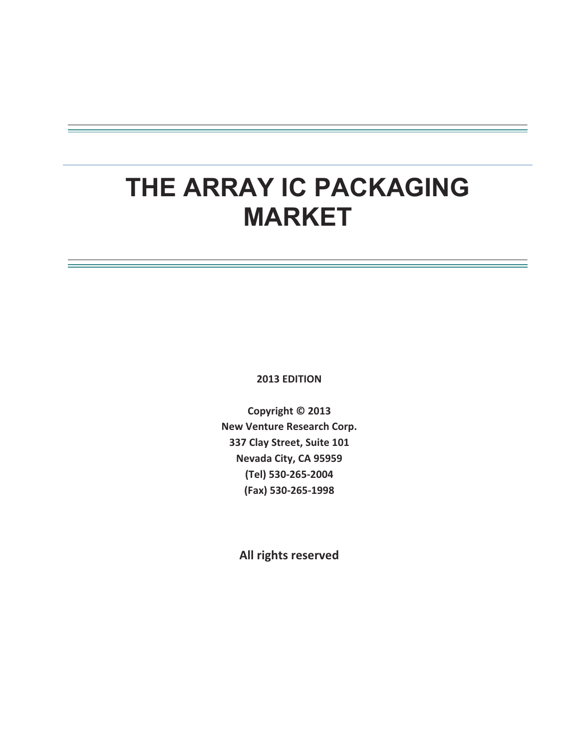# **THE ARRAY IC PACKAGING MARKET**

2013 **EDITION** 

Copyright © 2013 **New Venture Research Corp.** 337 Clay Street, Suite 101 **Nevada City, CA 95959 (Tel)-5302652004- (Fax)-5302651998-**

All rights reserved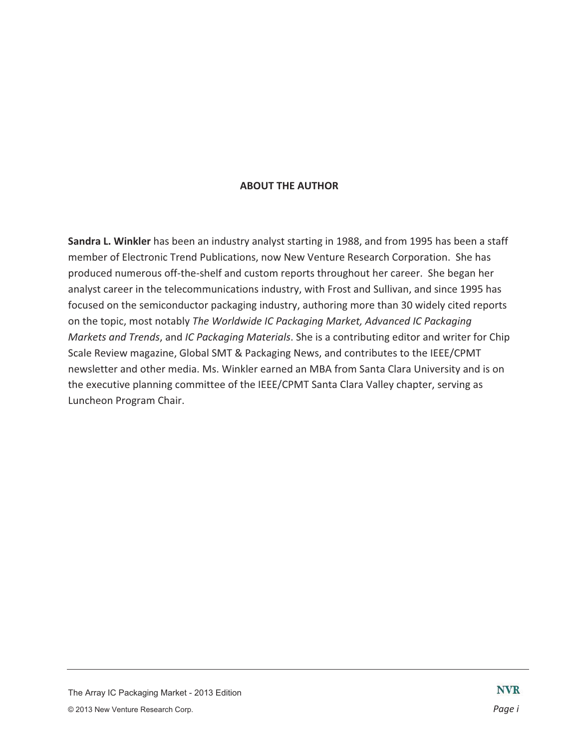## **ABOUT THE AUTHOR**

Sandra L. Winkler has been an industry analyst starting in 1988, and from 1995 has been a staff member of Electronic Trend Publications, now New Venture Research Corporation. She has produced numerous off-the-shelf and custom reports throughout her career. She began her analyst career in the telecommunications industry, with Frost and Sullivan, and since 1995 has focused on the semiconductor packaging industry, authoring more than 30 widely cited reports on the topic, most notably The Worldwide IC Packaging Market, Advanced IC Packaging *Markets and Trends*, and IC Packaging Materials. She is a contributing editor and writer for Chip Scale Review magazine, Global SMT & Packaging News, and contributes to the IEEE/CPMT newsletter and other media. Ms. Winkler earned an MBA from Santa Clara University and is on the executive planning committee of the IEEE/CPMT Santa Clara Valley chapter, serving as Luncheon Program Chair.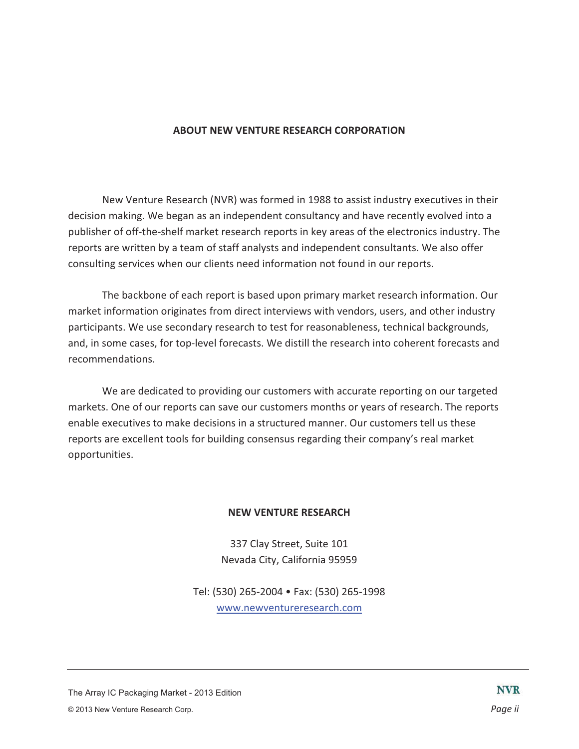## **ABOUT NEW VENTURE RESEARCH CORPORATION**

New Venture Research (NVR) was formed in 1988 to assist industry executives in their decision making. We began as an independent consultancy and have recently evolved into a publisher of off-the-shelf market research reports in key areas of the electronics industry. The reports are written by a team of staff analysts and independent consultants. We also offer consulting services when our clients need information not found in our reports.

The backbone of each report is based upon primary market research information. Our market information originates from direct interviews with vendors, users, and other industry participants. We use secondary research to test for reasonableness, technical backgrounds, and, in some cases, for top-level forecasts. We distill the research into coherent forecasts and recommendations.

We are dedicated to providing our customers with accurate reporting on our targeted markets. One of our reports can save our customers months or years of research. The reports enable executives to make decisions in a structured manner. Our customers tell us these reports are excellent tools for building consensus regarding their company's real market opportunities.

## **NEW VENTURE RESEARCH**

337 Clay Street, Suite 101 Nevada City, California 95959

Tel: (530) 265-2004 • Fax: (530) 265-1998 www.newventureresearch.com

The Array IC Packaging Market - 2013 Edition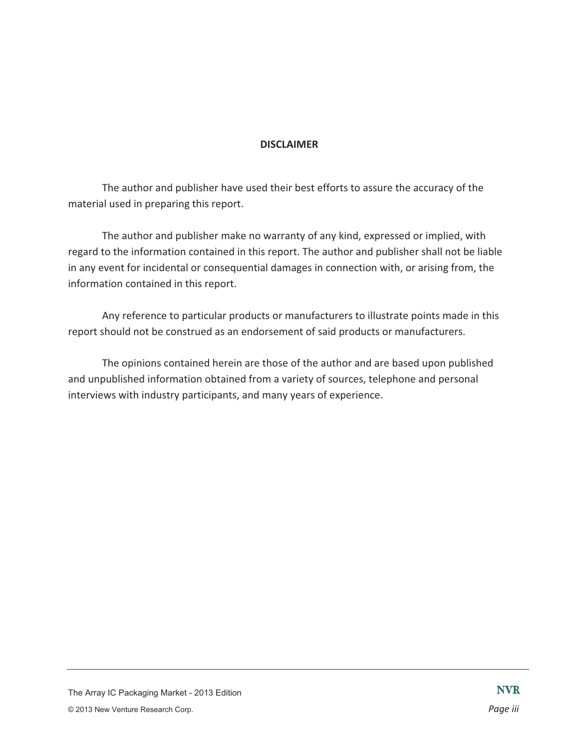# **DISCLAIMER-**

The author and publisher have used their best efforts to assure the accuracy of the material used in preparing this report.

The author and publisher make no warranty of any kind, expressed or implied, with regard to the information contained in this report. The author and publisher shall not be liable in any event for incidental or consequential damages in connection with, or arising from, the information contained in this report.

Any reference to particular products or manufacturers to illustrate points made in this report should not be construed as an endorsement of said products or manufacturers.

The opinions contained herein are those of the author and are based upon published and unpublished information obtained from a variety of sources, telephone and personal interviews with industry participants, and many years of experience.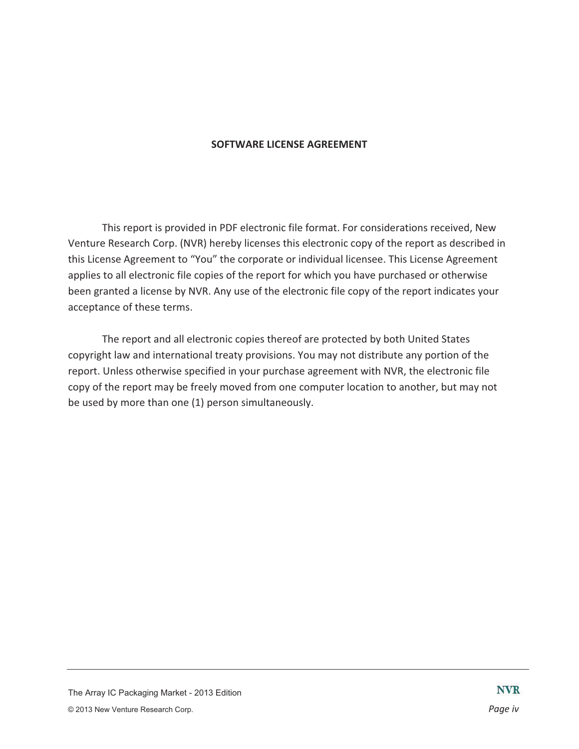## **SOFTWARE LICENSE AGREEMENT**

This report is provided in PDF electronic file format. For considerations received, New Venture Research Corp. (NVR) hereby licenses this electronic copy of the report as described in this License Agreement to "You" the corporate or individual licensee. This License Agreement applies to all electronic file copies of the report for which you have purchased or otherwise been granted a license by NVR. Any use of the electronic file copy of the report indicates your acceptance of these terms.

The report and all electronic copies thereof are protected by both United States copyright law and international treaty provisions. You may not distribute any portion of the report. Unless otherwise specified in your purchase agreement with NVR, the electronic file copy of the report may be freely moved from one computer location to another, but may not be used by more than one (1) person simultaneously.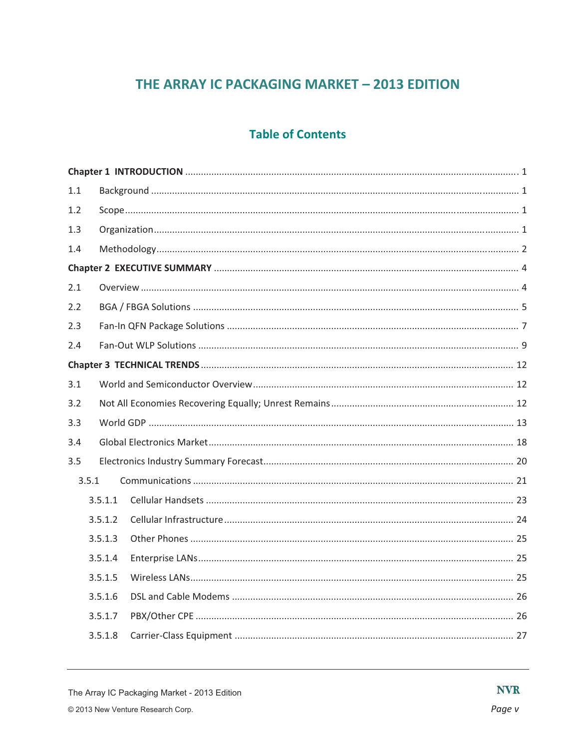# THE ARRAY IC PACKAGING MARKET - 2013 EDITION

# **Table of Contents**

| 1.1 |         |  |  |  |  |
|-----|---------|--|--|--|--|
| 1.2 |         |  |  |  |  |
| 1.3 |         |  |  |  |  |
| 1.4 |         |  |  |  |  |
|     |         |  |  |  |  |
| 2.1 |         |  |  |  |  |
| 2.2 |         |  |  |  |  |
| 2.3 |         |  |  |  |  |
| 2.4 |         |  |  |  |  |
|     |         |  |  |  |  |
| 3.1 |         |  |  |  |  |
| 3.2 |         |  |  |  |  |
| 3.3 |         |  |  |  |  |
| 3.4 |         |  |  |  |  |
| 3.5 |         |  |  |  |  |
|     | 3.5.1   |  |  |  |  |
|     | 3.5.1.1 |  |  |  |  |
|     | 3.5.1.2 |  |  |  |  |
|     | 3.5.1.3 |  |  |  |  |
|     | 3.5.1.4 |  |  |  |  |
|     | 3.5.1.5 |  |  |  |  |
|     | 3.5.1.6 |  |  |  |  |
|     | 3.5.1.7 |  |  |  |  |
|     | 3.5.1.8 |  |  |  |  |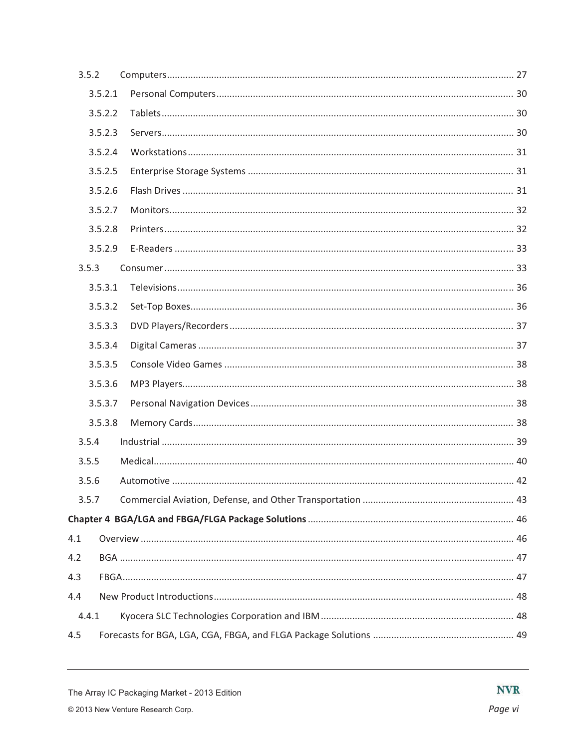| 3.5.2 |         |  |
|-------|---------|--|
|       | 3.5.2.1 |  |
|       | 3.5.2.2 |  |
|       | 3.5.2.3 |  |
|       | 3.5.2.4 |  |
|       | 3.5.2.5 |  |
|       | 3.5.2.6 |  |
|       | 3.5.2.7 |  |
|       | 3.5.2.8 |  |
|       | 3.5.2.9 |  |
| 3.5.3 |         |  |
|       | 3.5.3.1 |  |
|       | 3.5.3.2 |  |
|       | 3.5.3.3 |  |
|       | 3.5.3.4 |  |
|       | 3.5.3.5 |  |
|       | 3.5.3.6 |  |
|       | 3.5.3.7 |  |
|       | 3.5.3.8 |  |
| 3.5.4 |         |  |
| 3.5.5 |         |  |
| 3.5.6 |         |  |
| 3.5.7 |         |  |
|       |         |  |
| 4.1   |         |  |
| 4.2   |         |  |
| 4.3   |         |  |
| 4.4   |         |  |
| 4.4.1 |         |  |
| 4.5   |         |  |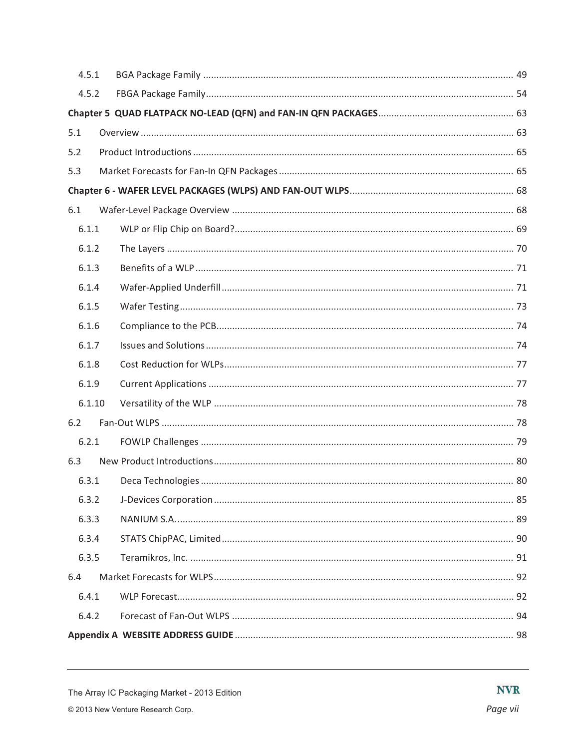| 4.5.1  |  |  |  |  |  |  |
|--------|--|--|--|--|--|--|
| 4.5.2  |  |  |  |  |  |  |
|        |  |  |  |  |  |  |
| 5.1    |  |  |  |  |  |  |
| 5.2    |  |  |  |  |  |  |
| 5.3    |  |  |  |  |  |  |
|        |  |  |  |  |  |  |
| 6.1    |  |  |  |  |  |  |
| 6.1.1  |  |  |  |  |  |  |
| 6.1.2  |  |  |  |  |  |  |
| 6.1.3  |  |  |  |  |  |  |
| 6.1.4  |  |  |  |  |  |  |
| 6.1.5  |  |  |  |  |  |  |
| 6.1.6  |  |  |  |  |  |  |
| 6.1.7  |  |  |  |  |  |  |
| 6.1.8  |  |  |  |  |  |  |
| 6.1.9  |  |  |  |  |  |  |
| 6.1.10 |  |  |  |  |  |  |
| 6.2    |  |  |  |  |  |  |
| 6.2.1  |  |  |  |  |  |  |
| 6.3    |  |  |  |  |  |  |
| 6.3.1  |  |  |  |  |  |  |
| 6.3.2  |  |  |  |  |  |  |
| 6.3.3  |  |  |  |  |  |  |
| 6.3.4  |  |  |  |  |  |  |
| 6.3.5  |  |  |  |  |  |  |
| 6.4    |  |  |  |  |  |  |
| 6.4.1  |  |  |  |  |  |  |
| 6.4.2  |  |  |  |  |  |  |
|        |  |  |  |  |  |  |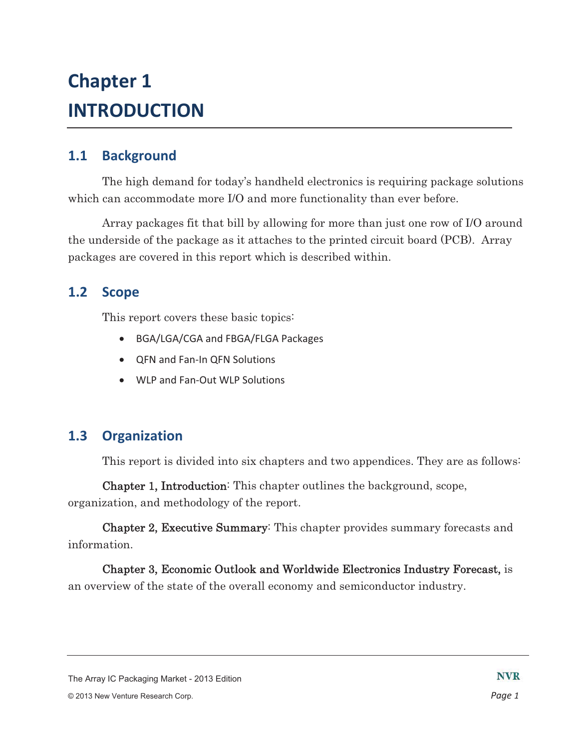# **Chapter 1 INTRODUCTION**

### **1.1- Background-**

The high demand for today's handheld electronics is requiring package solutions which can accommodate more I/O and more functionality than ever before.

Array packages fit that bill by allowing for more than just one row of I/O around the underside of the package as it attaches to the printed circuit board (PCB). Array packages are covered in this report which is described within.

#### **1.2- Scope-**

This report covers these basic topics:

- BGA/LGA/CGA and FBGA/FLGA Packages
- QFN and Fan-In QFN Solutions
- WLP and Fan-Out WLP Solutions

### **1.3- Organization-**

This report is divided into six chapters and two appendices. They are as follows:

Chapter 1, Introduction: This chapter outlines the background, scope, organization, and methodology of the report.

Chapter 2, Executive Summary: This chapter provides summary forecasts and information.

Chapter 3, Economic Outlook and Worldwide Electronics Industry Forecast, is an overview of the state of the overall economy and semiconductor industry.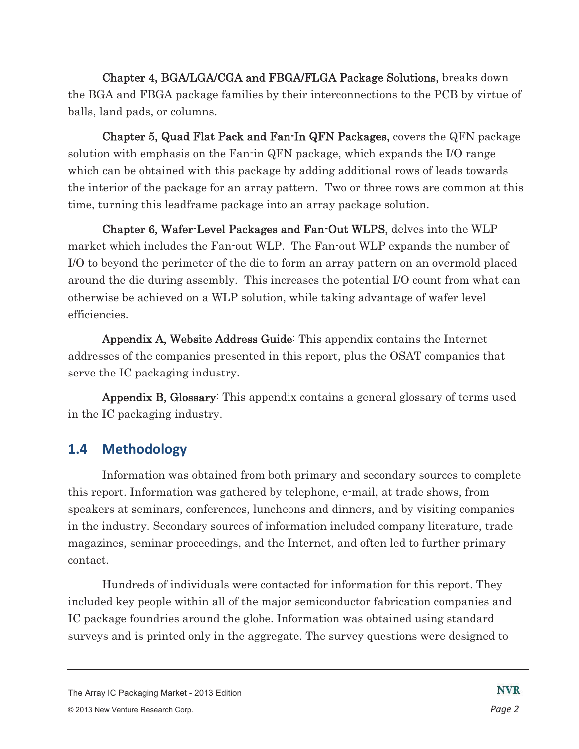Chapter 4, BGA/LGA/CGA and FBGA/FLGA Package Solutions, breaks down the BGA and FBGA package families by their interconnections to the PCB by virtue of balls, land pads, or columns.

Chapter 5, Quad Flat Pack and Fan-In QFN Packages, covers the QFN package solution with emphasis on the Fan-in QFN package, which expands the I/O range which can be obtained with this package by adding additional rows of leads towards the interior of the package for an array pattern. Two or three rows are common at this time, turning this leadframe package into an array package solution.

Chapter 6, Wafer-Level Packages and Fan-Out WLPS, delves into the WLP market which includes the Fan-out WLP. The Fan-out WLP expands the number of I/O to beyond the perimeter of the die to form an array pattern on an overmold placed around the die during assembly. This increases the potential I/O count from what can otherwise be achieved on a WLP solution, while taking advantage of wafer level efficiencies.

Appendix A, Website Address Guide: This appendix contains the Internet addresses of the companies presented in this report, plus the OSAT companies that serve the IC packaging industry.

Appendix B, Glossary: This appendix contains a general glossary of terms used in the IC packaging industry.

### **1.4- Methodology-**

Information was obtained from both primary and secondary sources to complete this report. Information was gathered by telephone, e-mail, at trade shows, from speakers at seminars, conferences, luncheons and dinners, and by visiting companies in the industry. Secondary sources of information included company literature, trade magazines, seminar proceedings, and the Internet, and often led to further primary contact.

Hundreds of individuals were contacted for information for this report. They included key people within all of the major semiconductor fabrication companies and IC package foundries around the globe. Information was obtained using standard surveys and is printed only in the aggregate. The survey questions were designed to